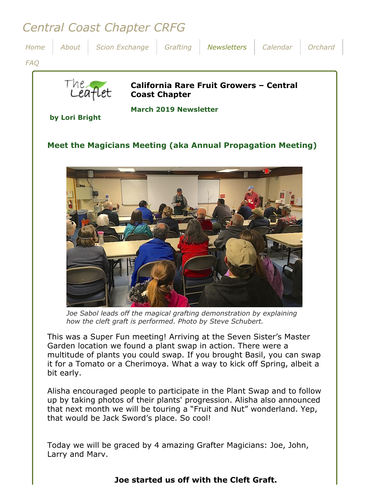# *Central Coast Chapter CRFG*



*Joe Sabol leads off the magical grafting demonstration by explaining how the cleft graft is performed. Photo by Steve Schubert.*

This was a Super Fun meeting! Arriving at the Seven Sister's Master Garden location we found a plant swap in action. There were a multitude of plants you could swap. If you brought Basil, you can swap it for a Tomato or a Cherimoya. What a way to kick off Spring, albeit a bit early.

Alisha encouraged people to participate in the Plant Swap and to follow up by taking photos of their plants' progression. Alisha also announced that next month we will be touring a "Fruit and Nut" wonderland. Yep, that would be Jack Sword's place. So cool!

Today we will be graced by 4 amazing Grafter Magicians: Joe, John, Larry and Marv.

## **Joe started us off with the Cleft Graft.**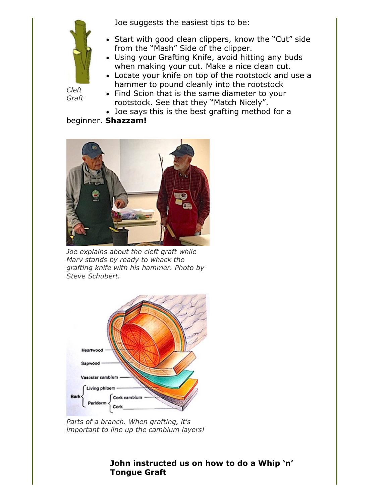Joe suggests the easiest tips to be:



*Cleft Graft*

- Start with good clean clippers, know the "Cut" side from the "Mash" Side of the clipper.
- Using your Grafting Knife, avoid hitting any buds when making your cut. Make a nice clean cut.
- Locate your knife on top of the rootstock and use a hammer to pound cleanly into the rootstock
- Find Scion that is the same diameter to your rootstock. See that they "Match Nicely".
- Joe says this is the best grafting method for a

beginner. **Shazzam!**



*Joe explains about the cleft graft while Marv stands by ready to whack the grafting knife with his hammer. Photo by Steve Schubert.*



*Parts of a branch. When grafting, it's important to line up the cambium layers!*

## **John instructed us on how to do a Whip 'n' Tongue Graft**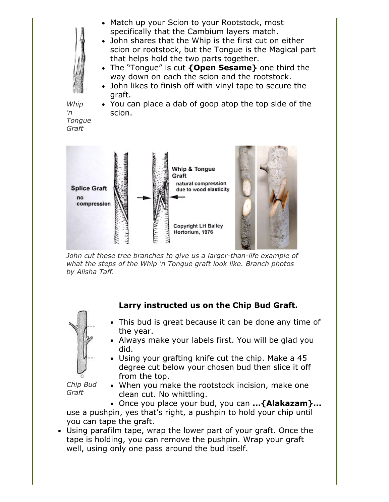- Match up your Scion to your Rootstock, most specifically that the Cambium layers match.
- John shares that the Whip is the first cut on either scion or rootstock, but the Tongue is the Magical part that helps hold the two parts together.
- The "Tongue" is cut **{Open Sesame}** one third the way down on each the scion and the rootstock.
- John likes to finish off with vinyl tape to secure the graft.

*Whip 'n Tongue Graft*

You can place a dab of goop atop the top side of the scion.



*John cut these tree branches to give us a larger-than-life example of what the steps of the Whip 'n Tongue graft look like. Branch photos by Alisha Taff.*



# **Larry instructed us on the Chip Bud Graft.**

- This bud is great because it can be done any time of the year.
- Always make your labels first. You will be glad you did.
- Using your grafting knife cut the chip. Make a 45 degree cut below your chosen bud then slice it off from the top.

*Chip Bud Graft*

When you make the rootstock incision, make one clean cut. No whittling.

Once you place your bud, you can **...{Alakazam}...** use a pushpin, yes that's right, a pushpin to hold your chip until you can tape the graft.

Using parafilm tape, wrap the lower part of your graft. Once the tape is holding, you can remove the pushpin. Wrap your graft well, using only one pass around the bud itself.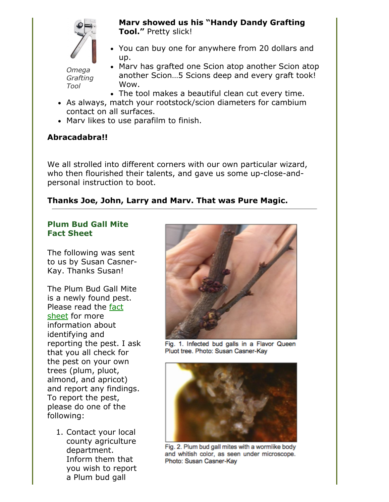

**Marv showed us his "Handy Dandy Grafting Tool."** Pretty slick!

You can buy one for anywhere from 20 dollars and up.

*Omega Grafting Tool*

- Marv has grafted one Scion atop another Scion atop another Scion…5 Scions deep and every graft took! Wow.
- The tool makes a beautiful clean cut every time.
- As always, match your rootstock/scion diameters for cambium contact on all surfaces.
- Mary likes to use parafilm to finish.

## **Abracadabra!!**

We all strolled into different corners with our own particular wizard, who then flourished their talents, and gave us some up-close-andpersonal instruction to boot.

#### **Thanks Joe, John, Larry and Marv. That was Pure Magic.**

#### **Plum Bud Gall Mite Fact Sheet**

The following was sent to us by Susan Casner-Kay. Thanks Susan!

The Plum Bud Gall Mite is a newly found pest. [Please read the fact](file:///Users/daramanker/Documents/CRFG/Website/Newsletters/2019/Mar/PBGM_Fact_Sheet-03-11-192149.pdf) sheet for more information about identifying and reporting the pest. I ask that you all check for the pest on your own trees (plum, pluot, almond, and apricot) and report any findings. To report the pest, please do one of the following:

1. Contact your local county agriculture department. Inform them that you wish to report a Plum bud gall



Fig. 1. Infected bud galls in a Flavor Queen Pluot tree. Photo: Susan Casner-Kay



Fig. 2. Plum bud gall mites with a wormlike body and whitish color, as seen under microscope. Photo: Susan Casner-Kay